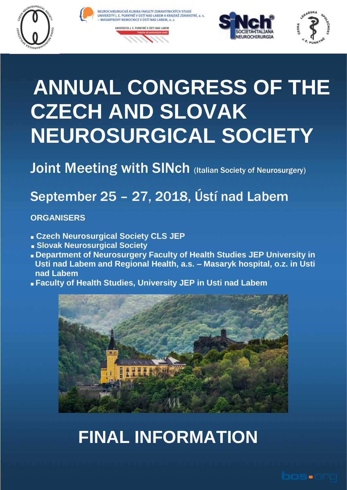



IEUROCHIRURGICKÁ KLINIKA FAKULTY ZDRAVOTNICKÝCH STUDIÍ INIVERZITY I. F. PURKYNĚ V ÚSTÍ NAD LABEM A KRAJSKÉ ZDRAVOTNÍ, a. s. SARYKOVY NEMOCNICE V ÚSTÍ NAD LABEM, o. 2







# **ANNUAL CONGRESS OF THE CZECH AND SLOVAK NEUROSURGICAL SOCIETY**

# Joint Meeting with SINch (Italian Society of Neurosurgery)

# September 25 – 27, 2018, Ústí nad Labem

## **ORGANISERS**

- **■ Czech Neurosurgical Society CLS JEP**
- **■ Slovak Neurosurgical Society**
- **Department of Neurosurgery Faculty of Health Studies JEP University in Usti nad Labem and Regional Health, a.s. – Masaryk hospital, o.z. in Usti nad Labem**
- **Faculty of Health Studies, University JEP in Usti nad Labem**



# **FINAL INFORMATION**

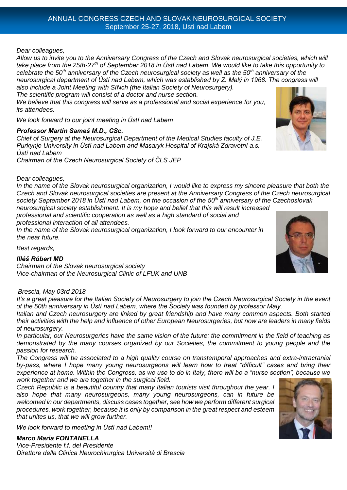*Dear colleagues,* 

*Allow us to invite you to the Anniversary Congress of the Czech and Slovak neurosurgical societies, which will take place from the 25th-27th of September 2018 in Ústí nad Labem. We would like to take this opportunity to celebrate the 50th anniversary of the Czech neurosurgical society as well as the 50th anniversary of the neurosurgical department of Ústí nad Labem, which was established by Z. Malý in 1968. The congress will* 

*also include a Joint Meeting with SINch (the Italian Society of Neurosurgery).*

*The scientific program will consist of a doctor and nurse section.*

*We believe that this congress will serve as a professional and social experience for you, its attendees.* 

*We look forward to our joint meeting in Ústí nad Labem*

#### *Professor Martin Sameš M.D., CSc.*

*Chief of Surgery at the Neurosurgical Department of the Medical Studies faculty of J.E. Purkynje University in Ústí nad Labem and Masaryk Hospital of Krajská Zdravotní a.s. Ústí nad Labem*

*Chairman of the Czech Neurosurgical Society of ČLS JEP*

*Dear colleagues,* 

*In the name of the Slovak neurosurgical organization, I would like to express my sincere pleasure that both the Czech and Slovak neurosurgical societies are present at the Anniversary Congress of the Czech neurosurgical society September 2018 in Ústí nad Labem, on the occasion of the 50th anniversary of the Czechoslovak* 

*neurosurgical society establishment. It is my hope and belief that this will result increased professional and scientific cooperation as well as a high standard of social and professional interaction of all attendees.* 

*In the name of the Slovak neurosurgical organization, I look forward to our encounter in the near future.* 

*Best regards,*

#### *Illéš Róbert MD*

*Chairman of the Slovak neurosurgical society Vice-chairman of the Neurosurgical Clinic of LFUK and UNB* 

#### *Brescia, May 03rd 2018*

*It's a great pleasure for the Italian Society of Neurosurgery to join the Czech Neurosurgical Society in the event of the 50th anniversary in Ústí nad Labem, where the Society was founded by professor Maly.* 

*Italian and Czech neurosurgery are linked by great friendship and have many common aspects. Both started their activities with the help and influence of other European Neurosurgeries, but now are leaders in many fields of neurosurgery.* 

*In particular, our Neurosurgeries have the same vision of the future: the commitment in the field of teaching as demonstrated by the many courses organized by our Societies, the commitment to young people and the passion for research.* 

*The Congress will be associated to a high quality course on transtemporal approaches and extra-intracranial by-pass, where I hope many young neurosurgeons will learn how to treat "difficult" cases and bring their experience at home. Within the Congress, as we use to do in Italy, there will be a "nurse section", because we work together and we are together in the surgical field.* 

*Czech Republic is a beautiful country that many Italian tourists visit throughout the year. I also hope that many neurosurgeons, many young neurosurgeons, can in future be welcomed in our departments, discuss cases together, see how we perform different surgical procedures, work together, because it is only by comparison in the great respect and esteem that unites us, that we will grow further.* 

*We look forward to meeting in Ústí nad Labem!!*

#### *Marco Maria FONTANELLA*

*Vice-Presidente f.f. del Presidente Direttore della Clinica Neurochirurgica Università di Brescia*





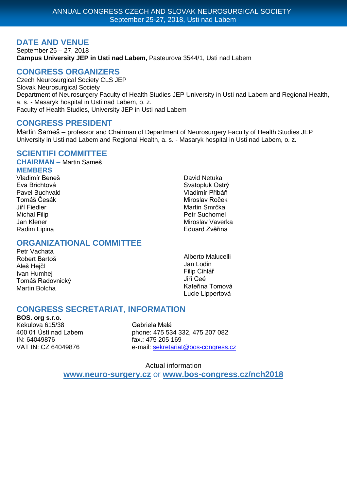#### **DATE AND VENUE**

September 25 – 27, 2018 **Campus University JEP in Usti nad Labem,** Pasteurova 3544/1, Usti nad Labem

#### **CONGRESS ORGANIZERS**

Czech Neurosurgical Society CLS JEP Slovak Neurosurgical Society Department of Neurosurgery Faculty of Health Studies JEP University in Usti nad Labem and Regional Health, a. s. - Masaryk hospital in Usti nad Labem, o. z. Faculty of Health Studies, University JEP in Usti nad Labem

#### **CONGRESS PRESIDENT**

Martin Sameš – professor and Chairman of Department of Neurosurgery Faculty of Health Studies JEP University in Usti nad Labem and Regional Health, a. s. - Masaryk hospital in Usti nad Labem, o. z.

#### **SCIENTIFI COMMITTEE**

#### **CHAIRMAN –** Martin Sameš **MEMBERS**

Vladimír Beneš Eva Brichtová Pavel Buchvald Tomáš Česák Jiří Fiedler Michal Filip Jan Klener Radim Lipina

**ORGANIZATIONAL COMMITTEE**

Petr Vachata Robert Bartoš Aleš Hejčl Ivan Humhej Tomáš Radovnický Martin Bolcha

David Netuka Svatopluk Ostrý Vladimír Přibáň Miroslav Roček Martin Smrčka Petr Suchomel Miroslav Vaverka Eduard Zvěřina

Alberto Malucelli Jan Lodin Filip Cihlář Jiří Ceé Kateřina Tomová Lucie Lippertová

#### **CONGRESS SECRETARIAT, INFORMATION**

**BOS. org s.r.o.**  Kekulova 615/38 Gabriela Malá IN: 64049876 fax.: 475 205 169

400 01 Ústí nad Labem phone: 475 534 332, 475 207 082 VAT IN: CZ 64049876 e-mail: [sekretariat@bos-congress.cz](mailto:sekretariat@bos-congress.cz)

> Actual information **[www.neuro-surgery.cz](http://www.neuro-surgery.cz/)** or **[www.bos-congress.cz/nch2018](http://www.bos-congress.cz/nch2018)**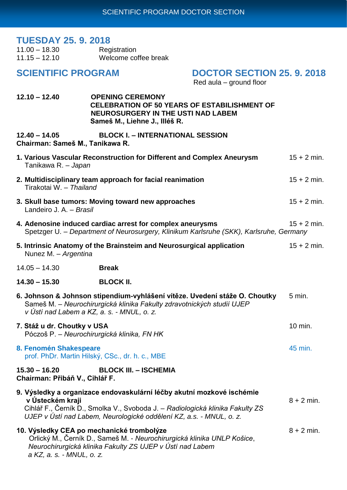#### **TUESDAY 25. 9. 2018**

| $11.00 - 18.30$ | Registration         |
|-----------------|----------------------|
| $11.15 - 12.10$ | Welcome coffee break |

## **SCIENTIFIC PROGRAM DOCTOR SECTION 25. 9. 2018**

Red aula – ground floor

**12.10 – 12.40 OPENING CEREMONY CELEBRATION OF 50 YEARS OF ESTABILISHMENT OF NEUROSURGERY IN THE USTI NAD LABEM Sameš M., Liehne J., Illéš R. 12.40 – 14.05 BLOCK I. – INTERNATIONAL SESSION Chairman: Sameš M., Tanikawa R. 1. Various Vascular Reconstruction for Different and Complex Aneurysm** 15 + 2 min. Tanikawa R. – *Japan*  **2. Multidisciplinary team approach for facial reanimation** 15 + 2 min. Tirakotai W. – *Thailand* **3. Skull base tumors: Moving toward new approaches** 15 + 2 min. Landeiro J. A. – *Brasil* **4. Adenosine induced cardiac arrest for complex aneurysms** 15 + 2 min. Spetzger U. – *Department of Neurosurgery, Klinikum Karlsruhe (SKK), Karlsruhe, Germany* **5. Intrinsic Anatomy of the Brainsteim and Neurosurgical application** 15 + 2 min. Nunez M. – Argentina 14.05 – 14.30 **Break 14.30 – 15.30 BLOCK II. 6. Johnson & Johnson stipendium-vyhlášení vítěze. Uvedení stáže O. Choutky** 5 min. Sameš M. – *Neurochirurgická klinika Fakulty zdravotnických studií UJEP v Ústí nad Labem a KZ, a. s. - MNUL, o. z.* **7. Stáž u dr. Choutky v USA** 10 min. Póczoš P. – *Neurochirurgická klinika, FN HK* **8. Fenomén Shakespeare** 45 min. prof. PhDr. Martin Hilský, CSc., dr. h. c., MBE **15.30 – 16.20 BLOCK III. – ISCHEMIA Chairman: Přibáň V., Cihlář F. 9. Výsledky a organizace endovaskulární léčby akutní mozkové ischémie v Ústeckém kraji** 8 + 2 min. Cihlář F., Černík D., Smolka V., Svoboda J. – *Radiologická klinika Fakulty ZS UJEP v Ústí nad Labem, Neurologické oddělení KZ, a.s. - MNUL, o. z.* **10. Výsledky CEA po mechanické trombolýze 10. Výsledky CEA po mechanické trombolýze 8 + 2 min.** Orlický M., Černík D., Sameš M. - *Neurochirurgická klinika UNLP Košice*,

 *Neurochirurgická klinika Fakulty ZS UJEP v Ústí nad Labem a KZ, a. s. - MNUL, o. z.*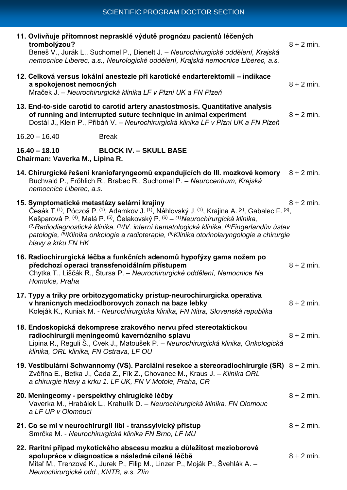| <b>SCIENTIFIC PROGRAM DOCTOR SECTION</b>                                                                                                                                                                                                                                                                                                                                                                                                                                                                                                                                                                                                             |              |  |
|------------------------------------------------------------------------------------------------------------------------------------------------------------------------------------------------------------------------------------------------------------------------------------------------------------------------------------------------------------------------------------------------------------------------------------------------------------------------------------------------------------------------------------------------------------------------------------------------------------------------------------------------------|--------------|--|
| 11. Ovlivňuje přítomnost neprasklé výdutě prognózu pacientů léčených<br>trombolýzou?<br>Beneš V., Jurák L., Suchomel P., Dienelt J. - Neurochirurgické oddělení, Krajská<br>nemocnice Liberec, a.s., Neurologické oddělení, Krajská nemocnice Liberec, a.s.                                                                                                                                                                                                                                                                                                                                                                                          | $8 + 2$ min. |  |
| 12. Celková versus lokální anestezie při karotické endarterektomii – indikace<br>a spokojenost nemocných<br>Mraček J. – Neurochirurgická klinika LF v Plzni UK a FN Plzeň                                                                                                                                                                                                                                                                                                                                                                                                                                                                            | $8 + 2$ min. |  |
| 13. End-to-side carotid to carotid artery anastostmosis. Quantitative analysis<br>of running and interrupted suture technique in animal experiment<br>Dostál J., Klein P., Přibáň V. – Neurochirurgická klinika LF v Plzni UK a FN Plzeň                                                                                                                                                                                                                                                                                                                                                                                                             | $8 + 2$ min. |  |
| $16.20 - 16.40$<br><b>Break</b>                                                                                                                                                                                                                                                                                                                                                                                                                                                                                                                                                                                                                      |              |  |
| $16.40 - 18.10$<br><b>BLOCK IV. - SKULL BASE</b><br>Chairman: Vaverka M., Lipina R.                                                                                                                                                                                                                                                                                                                                                                                                                                                                                                                                                                  |              |  |
| 14. Chirurgické řešení kraniofaryngeomů expandujících do III. mozkové komory<br>Buchvald P., Fröhlich R., Brabec R., Suchomel P. - Neurocentrum, Krajská<br>nemocnice Liberec, a.s.                                                                                                                                                                                                                                                                                                                                                                                                                                                                  | $8 + 2$ min. |  |
| 15. Symptomatické metastázy selární krajiny<br>$8 + 2$ min.<br>Česák T. <sup>(1)</sup> , Póczoš P. <sup>(1)</sup> , Adamkov J. <sup>(1)</sup> , Náhlovský J. <sup>(1)</sup> , Krajina A. <sup>(2)</sup> , Gabalec F. <sup>(3)</sup> ,<br>Kašparová P. <sup>(4)</sup> , Malá P. <sup>(5)</sup> , Čelakovský P. <sup>(6)</sup> – <sup>(1)</sup> Neurochirurgická klinika,<br><sup>(2)</sup> Radiodiagnostická klinika, <sup>(3)</sup> IV. interní hematologická klinika, <sup>(4)</sup> Fingerlandův ústav<br>patologie, <sup>(5)</sup> Klinika onkologie a radioterapie, <sup>(6)</sup> Klinika otorinolaryngologie a chirurgie<br>hlavy a krku FN HK |              |  |
| 16. Radiochirurgická léčba a funkčních adenomů hypofýzy gama nožem po<br>předchozí operaci transsfenoidálním přístupem<br>Chytka T., Liščák R., Štursa P. – Neurochirurgické oddělení, Nemocnice Na<br>Homolce, Praha                                                                                                                                                                                                                                                                                                                                                                                                                                | $8 + 2$ min. |  |
| 17. Typy a triky pre orbitozygomaticky pristup-neurochirurgicka operativa<br>v hranicnych medziodborovych zonach na baze lebky<br>Koleják K., Kuniak M. - Neurochirurgicka klinika, FN Nitra, Slovenská republika                                                                                                                                                                                                                                                                                                                                                                                                                                    | $8 + 2$ min. |  |
| 18. Endoskopická dekomprese zrakového nervu před stereotaktickou<br>radiochirurgií meningeomů kavernózního splavu<br>Lipina R., Reguli Š., Cvek J., Matoušek P. – Neurochirurgická klinika, Onkologická<br>klinika, ORL klinika, FN Ostrava, LF OU                                                                                                                                                                                                                                                                                                                                                                                                   | $8 + 2$ min. |  |
| 19. Vestibulární Schwannomy (VS). Parciální resekce a stereoradiochirurgie (SR) 8 + 2 min.<br>Zvěřina E., Betka J., Čada Z., Fík Z., Chovanec M., Kraus J. – Klinika ORL<br>a chirurgie hlavy a krku 1. LF UK, FN V Motole, Praha, CR                                                                                                                                                                                                                                                                                                                                                                                                                |              |  |
| 20. Meningeomy - perspektivy chirugické léčby<br>Vaverka M., Hrabálek L., Krahulík D. – Neurochirurgická klinika, FN Olomouc<br>a LF UP v Olomouci                                                                                                                                                                                                                                                                                                                                                                                                                                                                                                   | $8 + 2$ min. |  |
| 21. Co se mi v neurochirurgii líbí - transsylvický přístup<br>Smrčka M. - Neurochirurgická klinika FN Brno, LF MU                                                                                                                                                                                                                                                                                                                                                                                                                                                                                                                                    | $8 + 2$ min. |  |
| 22. Raritní případ mykotického abscesu mozku a důležitost mezioborové<br>spolupráce v diagnostice a následné cílené léčbě<br>Mitaľ M., Trenzová K., Jurek P., Filip M., Linzer P., Moják P., Švehlák A. –                                                                                                                                                                                                                                                                                                                                                                                                                                            | $8 + 2$ min. |  |

*Neurochirurgické odd., KNTB, a.s. Zlín*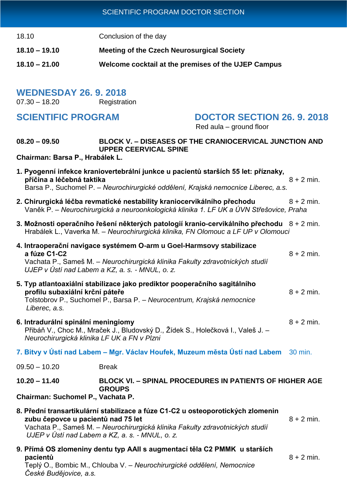| 18.10           | Conclusion of the day                               |
|-----------------|-----------------------------------------------------|
| $18.10 - 19.10$ | <b>Meeting of the Czech Neurosurgical Society</b>   |
| $18.10 - 21.00$ | Welcome cocktail at the premises of the UJEP Campus |

**WEDNESDAY 26. 9. 2018**

 $07.30 - 18.20$ 

*České Budějovice, a.s.*

## **SCIENTIFIC PROGRAM DOCTOR SECTION 26. 9. 2018**

Red aula – ground floor

|                                                                                                                                                                       | <b>INGU QUID</b><br><b>SHOWIN</b>                                                                                                                                                                                   |              |
|-----------------------------------------------------------------------------------------------------------------------------------------------------------------------|---------------------------------------------------------------------------------------------------------------------------------------------------------------------------------------------------------------------|--------------|
| $08.20 - 09.50$<br>Chairman: Barsa P., Hrabálek L.                                                                                                                    | <b>BLOCK V. - DISEASES OF THE CRANIOCERVICAL JUNCTION AND</b><br><b>UPPER CEERVICAL SPINE</b>                                                                                                                       |              |
|                                                                                                                                                                       |                                                                                                                                                                                                                     |              |
| příčina a léčebná taktika                                                                                                                                             | 1. Pyogenní infekce kraniovertebrální junkce u pacientů starších 55 let: příznaky,<br>Barsa P., Suchomel P. – Neurochirurgické oddělení, Krajská nemocnice Liberec, a.s.                                            | $8 + 2$ min. |
|                                                                                                                                                                       | 2. Chirurgická léčba revmatické nestability kraniocervikálního přechodu<br>Vaněk P. – Neurochirurgická a neuroonkologická klinika 1. LF UK a ÚVN Střešovice, Praha                                                  | $8 + 2$ min. |
|                                                                                                                                                                       | 3. Možnosti operačního řešení některých patologií kranio-cervikálního přechodu 8 + 2 min.<br>Hrabálek L., Vaverka M. – Neurochirurgická klinika, FN Olomouc a LF UP v Olomouci                                      |              |
| a fúze C1-C2                                                                                                                                                          | 4. Intraoperační navigace systémem O-arm u Goel-Harmsovy stabilizace<br>Vachata P., Sameš M. – Neurochirurgická klinika Fakulty zdravotnických studií<br>UJEP v Ústí nad Labem a KZ, a. s. - MNUL, o. z.            | $8 + 2$ min. |
| profilu subaxiální krční páteře<br>Liberec, a.s.                                                                                                                      | 5. Typ atlantoaxiální stabilizace jako prediktor pooperačního sagitálního<br>Tolstobrov P., Suchomel P., Barsa P. - Neurocentrum, Krajská nemocnice                                                                 | $8 + 2$ min. |
| 6. Intradurální spinální meningiomy<br>Přibáň V., Choc M., Mraček J., Bludovský D., Žídek S., Holečková I., Valeš J. –<br>Neurochirurgická klinika LF UK a FN v Plzni |                                                                                                                                                                                                                     | $8 + 2$ min. |
|                                                                                                                                                                       | 7. Bitvy v Ústí nad Labem – Mgr. Václav Houfek, Muzeum města Ústí nad Labem                                                                                                                                         | 30 min.      |
| $09.50 - 10.20$                                                                                                                                                       | <b>Break</b>                                                                                                                                                                                                        |              |
| $10.20 - 11.40$                                                                                                                                                       | <b>BLOCK VI. - SPINAL PROCEDURES IN PATIENTS OF HIGHER AGE</b><br><b>GROUPS</b>                                                                                                                                     |              |
| Chairman: Suchomel P., Vachata P.                                                                                                                                     |                                                                                                                                                                                                                     |              |
| zubu čepovce u pacientů nad 75 let                                                                                                                                    | 8. Přední transartikulární stabilizace a fúze C1-C2 u osteoporotických zlomenin<br>Vachata P., Sameš M. – Neurochirurgická klinika Fakulty zdravotnických studií<br>UJEP v Ústí nad Labem a KZ, a. s. - MNUL, o. z. | $8 + 2$ min. |
| pacientů                                                                                                                                                              | 9. Přímá OS zlomeniny dentu typ AAII s augmentací těla C2 PMMK u starších                                                                                                                                           | $8 + 2$ min. |

Teplý O., Bombic M., Chlouba V. – *Neurochirurgické oddělení, Nemocnice*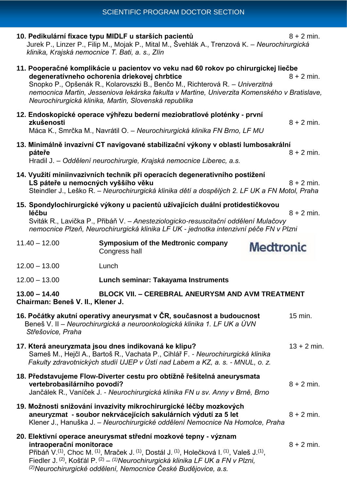|                                                                                                                                                                                                                                                                                                                                                                                             | klinika, Krajská nemocnice T. Bati, a. s., Zlín      | 10. Pedikulární fixace typu MIDLF u starších pacientů<br>Jurek P., Linzer P., Filip M., Mojak P., Mital M., Švehlák A., Trenzová K. – Neurochirurgická                                                                                                       |                  | $8 + 2$ min.  |
|---------------------------------------------------------------------------------------------------------------------------------------------------------------------------------------------------------------------------------------------------------------------------------------------------------------------------------------------------------------------------------------------|------------------------------------------------------|--------------------------------------------------------------------------------------------------------------------------------------------------------------------------------------------------------------------------------------------------------------|------------------|---------------|
| 11. Pooperačné komplikácie u pacientov vo veku nad 60 rokov po chirurgickej liečbe<br>degeneratívneho ochorenia driekovej chrbtice<br>$8 + 2$ min.<br>Snopko P., Opšenák R., Kolarovszki B., Benčo M., Richterová R. – Univerzitná<br>nemocnica Martin, Jesseniova lekárska fakulta v Martine, Univerzita Komenského v Bratislave,<br>Neurochirurgická klinika, Martin, Slovenská republika |                                                      |                                                                                                                                                                                                                                                              |                  |               |
|                                                                                                                                                                                                                                                                                                                                                                                             | zkušenosti                                           | 12. Endoskopické operace výhřezu bederní meziobratlové ploténky - první<br>Máca K., Smrčka M., Navrátil O. – Neurochirurgická klinika FN Brno, LF MU                                                                                                         |                  | $8 + 2$ min.  |
|                                                                                                                                                                                                                                                                                                                                                                                             | páteře                                               | 13. Minimálně invazívní CT navigované stabilizační výkony v oblasti lumbosakrální<br>Hradil J. – Oddělení neurochirurgie, Krajská nemocnice Liberec, a.s.                                                                                                    |                  | $8 + 2$ min.  |
|                                                                                                                                                                                                                                                                                                                                                                                             | LS páteře u nemocných vyššího věku                   | 14. Využití miniinvazivních technik při operacích degenerativního postižení<br>Steindler J., Leško R. – Neurochirurgická klinika dětí a dospělých 2. LF UK a FN Motol, Praha                                                                                 |                  | $8 + 2$ min.  |
|                                                                                                                                                                                                                                                                                                                                                                                             | léčbu                                                | 15. Spondylochirurgické výkony u pacientů užívajících duální protidestičkovou<br>Sviták R., Lavička P., Přibáň V. – Anesteziologicko-resuscitační oddělení Mulačovy<br>nemocnice Plzeň, Neurochirurgická klinika LF UK - jednotka intenzivní péče FN v Plzni |                  | $8 + 2$ min.  |
|                                                                                                                                                                                                                                                                                                                                                                                             | $11.40 - 12.00$                                      | <b>Symposium of the Medtronic company</b><br>Congress hall                                                                                                                                                                                                   | <b>Medtronic</b> |               |
|                                                                                                                                                                                                                                                                                                                                                                                             | $12.00 - 13.00$                                      | Lunch                                                                                                                                                                                                                                                        |                  |               |
|                                                                                                                                                                                                                                                                                                                                                                                             | $12.00 - 13.00$                                      | Lunch seminar: Takayama Instruments                                                                                                                                                                                                                          |                  |               |
|                                                                                                                                                                                                                                                                                                                                                                                             | $13.00 - 14.40$<br>Chairman: Beneš V. II., Klener J. | <b>BLOCK VII. – CEREBRAL ANEURYSM AND AVM TREATMENT</b>                                                                                                                                                                                                      |                  |               |
|                                                                                                                                                                                                                                                                                                                                                                                             | Střešovice, Praha                                    | 16. Počátky akutní operativy aneurysmat v ČR, současnost a budoucnost<br>Beneš V. II – Neurochirurgická a neuroonkologická klinika 1. LF UK a ÚVN                                                                                                            |                  | 15 min.       |
|                                                                                                                                                                                                                                                                                                                                                                                             |                                                      | 17. Která aneuryzmata jsou dnes indikovaná ke klipu?<br>Sameš M., Hejčl A., Bartoš R., Vachata P., Cihlář F. - Neurochirurgická klinika<br>Fakulty zdravotnických studií UJEP v Ústí nad Labem a KZ, a. s. - MNUL, o. z.                                     |                  | $13 + 2$ min. |
|                                                                                                                                                                                                                                                                                                                                                                                             | vertebrobasilárního povodí?                          | 18. Představujeme Flow-Diverter cestu pro obtížně řešitelná aneurysmata                                                                                                                                                                                      |                  | $8 + 2$ min.  |

**19. Možnosti snižování invazivity mikrochirurgické léčby mozkových aneuryzmat - soubor nekrvácejících sakulárních výdutí za 5 let** 8 + 2 min.

Klener J., Hanuška J. – *Neurochirurgické oddělení Nemocnice Na Homolce, Praha* **20. Elektivní operace aneurysmat střední mozkové tepny - význam** 

Jančálek R., Vaníček J. - *Neurochirurgická klinika FN u sv. Anny v Brně, Brno*

**intraoperační monitorace** 8 + 2 min. Přibáň V.<sup>(1)</sup>, Choc M. <sup>(1)</sup>, Mraček J. <sup>(1)</sup>, Dostál J. <sup>(1)</sup>, Holečková I. <sup>(1)</sup>, Valeš J. <sup>(1)</sup>, Fiedler J. (2) , Košťál P. (2) – *(1)Neurochirurgická klinika LF UK a FN v Plzni, (2)Neurochirurgické oddělení, Nemocnice České Budějovice, a.s.*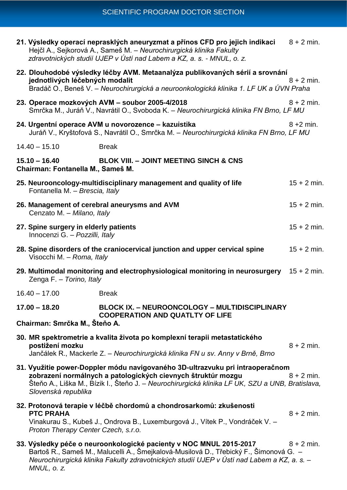|                                                                                                                                                                                                                                                                                                |                                                                                                                                                                                                                                                                                          | 21. Výsledky operací neprasklých aneuryzmat a přínos CFD pro jejich indikaci<br>Hejčl A., Sejkorová A., Sameš M. – Neurochirurgická klinika Fakulty<br>zdravotnických studií UJEP v Ústí nad Labem a KZ, a. s. - MNUL, o. z. | $8 + 2$ min.  |
|------------------------------------------------------------------------------------------------------------------------------------------------------------------------------------------------------------------------------------------------------------------------------------------------|------------------------------------------------------------------------------------------------------------------------------------------------------------------------------------------------------------------------------------------------------------------------------------------|------------------------------------------------------------------------------------------------------------------------------------------------------------------------------------------------------------------------------|---------------|
|                                                                                                                                                                                                                                                                                                | jednotlivých léčebných modalit                                                                                                                                                                                                                                                           | 22. Dlouhodobé výsledky léčby AVM. Metaanalýza publikovaných sérií a srovnání<br>Bradáč O., Beneš V. – Neurochirurgická a neuroonkologická klinika 1. LF UK a ÚVN Praha                                                      | $8 + 2$ min.  |
|                                                                                                                                                                                                                                                                                                |                                                                                                                                                                                                                                                                                          | 23. Operace mozkových AVM – soubor 2005-4/2018<br>Smrčka M., Juráň V., Navrátil O., Svoboda K. – Neurochirurgická klinika FN Brno, LF MU                                                                                     | $8 + 2$ min.  |
|                                                                                                                                                                                                                                                                                                |                                                                                                                                                                                                                                                                                          | 24. Urgentní operace AVM u novorozence - kazuistika<br>Juráň V., Kryštofová S., Navrátil O., Smrčka M. – Neurochirurgická klinika FN Brno, LF MU                                                                             | $8 + 2$ min.  |
|                                                                                                                                                                                                                                                                                                | $14.40 - 15.10$                                                                                                                                                                                                                                                                          | <b>Break</b>                                                                                                                                                                                                                 |               |
|                                                                                                                                                                                                                                                                                                | $15.10 - 16.40$<br>Chairman: Fontanella M., Sameš M.                                                                                                                                                                                                                                     | <b>BLOK VIII. - JOINT MEETING SINCH &amp; CNS</b>                                                                                                                                                                            |               |
|                                                                                                                                                                                                                                                                                                | Fontanella M. - Brescia, Italy                                                                                                                                                                                                                                                           | 25. Neurooncology-multidisciplinary management and quality of life                                                                                                                                                           | $15 + 2$ min. |
|                                                                                                                                                                                                                                                                                                | Cenzato M. - Milano, Italy                                                                                                                                                                                                                                                               | 26. Management of cerebral aneurysms and AVM                                                                                                                                                                                 | $15 + 2$ min. |
|                                                                                                                                                                                                                                                                                                | 27. Spine surgery in elderly patients<br>Innocenzi G. - Pozzilli, Italy                                                                                                                                                                                                                  |                                                                                                                                                                                                                              | $15 + 2$ min. |
|                                                                                                                                                                                                                                                                                                | 28. Spine disorders of the craniocervical junction and upper cervical spine<br>$15 + 2$ min.<br>Visocchi M. - Roma, Italy                                                                                                                                                                |                                                                                                                                                                                                                              |               |
|                                                                                                                                                                                                                                                                                                | Zenga F. - Torino, Italy                                                                                                                                                                                                                                                                 | 29. Multimodal monitoring and electrophysiological monitoring in neurosurgery                                                                                                                                                | $15 + 2$ min. |
|                                                                                                                                                                                                                                                                                                | $16.40 - 17.00$                                                                                                                                                                                                                                                                          | <b>Break</b>                                                                                                                                                                                                                 |               |
|                                                                                                                                                                                                                                                                                                | $17.00 - 18.20$                                                                                                                                                                                                                                                                          | <b>BLOCK IX. - NEUROONCOLOGY - MULTIDISCIPLINARY</b><br><b>COOPERATION AND QUATLTY OF LIFE</b>                                                                                                                               |               |
|                                                                                                                                                                                                                                                                                                | Chairman: Smrčka M., Šteňo A.                                                                                                                                                                                                                                                            |                                                                                                                                                                                                                              |               |
|                                                                                                                                                                                                                                                                                                | postižení mozku                                                                                                                                                                                                                                                                          | 30. MR spektrometrie a kvalita života po komplexní terapii metastatického<br>Jančálek R., Mackerle Z. – Neurochirurgická klinika FN u sv. Anny v Brně, Brno                                                                  | $8 + 2$ min.  |
| 31. Využitie power-Doppler módu navigovaného 3D-ultrazvuku pri intraoperačnom<br>zobrazení normálnych a patologických cievnych štruktúr mozgu<br>$8 + 2$ min.<br>Šteňo A., Liška M., Bízik I., Šteňo J. – <i>Neurochirurgická klinika LF UK, SZU a UNB, Bratislava,</i><br>Slovenská republika |                                                                                                                                                                                                                                                                                          |                                                                                                                                                                                                                              |               |
|                                                                                                                                                                                                                                                                                                | <b>PTC PRAHA</b><br>Proton Therapy Center Czech, s.r.o.                                                                                                                                                                                                                                  | 32. Protonová terapie v léčbě chordomů a chondrosarkomů: zkušenosti<br>Vinakurau S., Kubeš J., Ondrova B., Luxemburgová J., Vítek P., Vondráček V. -                                                                         | $8 + 2$ min.  |
|                                                                                                                                                                                                                                                                                                | 33. Výsledky péče o neuroonkologické pacienty v NOC MNUL 2015-2017<br>$8 + 2$ min.<br>Bartoš R., Sameš M., Malucelli A., Šmejkalová-Musilová D., Třebický F., Šimonová G. –<br>Neurochirurgická klinika Fakulty zdravotnických studií UJEP v Ústí nad Labem a KZ, a. s. -<br>MNUL, o. z. |                                                                                                                                                                                                                              |               |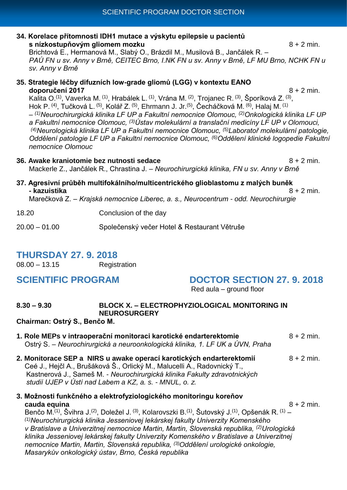#### **34. Korelace přítomnosti IDH1 mutace a výskytu epilepsie u pacientů s nízkostupňovým gliomem mozku** 8 + 2 min.

Brichtová E., Hermanová M., Slabý O., Brázdil M., Musilová B., Jančálek R. – *PAÚ FN u sv. Anny v Brně, CEITEC Brno, I.NK FN u sv. Anny v Brně, LF MU Brno, NCHK FN u sv. Anny v Brně*

**35. Strategie léčby difuzních low-grade gliomů (LGG) v kontextu EANO doporučení 2017** 8 + 2 min.

Kalita O.<sup>(1)</sup>, Vaverka M. <sup>(1)</sup>, Hrabálek L. <sup>(1)</sup>, Vrána M. <sup>(2)</sup>, Trojanec R. <sup>(3)</sup>, Šporíková Z. <sup>(3)</sup>, Hok P. <sup>(4)</sup>, Tučková L. <sup>(5)</sup>, Kolář Z. <sup>(5)</sup>, Ehrmann J. Jr.<sup>(5)</sup>, Čecháčková M. <sup>(6)</sup>, Halaj M. <sup>(1)</sup> – *(1)Neurochirurgická klinika LF UP a Fakultní nemocnice Olomouc, (2)Onkologická klinika LF UP a Fakultní nemocnice Olomouc, (3)Ústav molekulární a translační medicíny LF UP v Olomouci, (4)Neurologická klinika LF UP a Fakultní nemocnice Olomouc, (5)Laboratoř molekulární patologie, Oddělení patologie LF UP a Fakultní nemocnice Olomouc, (6)Oddělení klinické logopedie Fakultní nemocnice Olomouc*

#### **36. Awake kraniotomie bez nutnosti sedace** and the setting and setting a setting a setting a setting a setting of  $8 + 2$  min.

Mackerle Z., Jančálek R., Chrastina J. – *Neurochirurgická klinika, FN u sv. Anny v Brně*

**37. Agresivní průběh multifokálního/multicentrického glioblastomu z malých buněk - kazuistika** 8 + 2 min.

Marečková Z. – *Krajská nemocnice Liberec, a. s., Neurocentrum - odd. Neurochirurgie*

- 18.20 Conclusion of the day
- 20.00 01.00 Společenský večer Hotel & Restaurant Větruše

### **THURSDAY 27. 9. 2018**

08.00 – 13.15 Registration

## **SCIENTIFIC PROGRAM DOCTOR SECTION 27. 9. 2018**

Red aula – ground floor

| $8.30 - 9.30$ | <b>BLOCK X. – ELECTROPHYZIOLOGICAL MONITORING IN</b> |
|---------------|------------------------------------------------------|
|               | <b>NEUROSURGERY</b>                                  |

**Chairman: Ostrý S., Benčo M.**

| 1. Role MEPs v intraoperační monitoraci karotické endarterektomie<br>Ostrý S. – Neurochirurgická a neuroonkologická klinika, 1. LF UK a ÚVN, Praha                                                                                                                                                                                                                                                                                                                                                                                                               | $8 + 2$ min. |
|------------------------------------------------------------------------------------------------------------------------------------------------------------------------------------------------------------------------------------------------------------------------------------------------------------------------------------------------------------------------------------------------------------------------------------------------------------------------------------------------------------------------------------------------------------------|--------------|
| 2. Monitorace SEP a NIRS u awake operací karotických endarterektomií<br>Ceé J., Hejčl A., Brušáková Š., Orlický M., Malucelli A., Radovnický T.,<br>Kastnerová J., Sameš M. - Neurochirurgická klinika Fakulty zdravotnických<br>studií UJEP v Ústí nad Labem a KZ, a. s. - MNUL, o. z.                                                                                                                                                                                                                                                                          | $8 + 2$ min. |
| 3. Možnosti funkčného a elektrofyziologického monitoringu koreňov<br>cauda equina<br>Benčo M. <sup>(1)</sup> , Švihra J. <sup>(2)</sup> , Doležel J. <sup>(3)</sup> , Kolarovszki B. <sup>(1)</sup> , Šutovský J. <sup>(1)</sup> , Opšenák R. <sup>(1)</sup> –<br><sup>(1)</sup> Neurochirurgická klinika Jesseniovej lekárskej fakulty Univerzity Komenského<br>v Bratislave a Univerzitnej nemocnice Martin, Martin, Slovenská republika, <sup>(2)</sup> Urologická<br>klinika Jesseniovej lekárskej fakulty Univerzity Komenského v Bratislave a Univerzitnej | $8 + 2$ min. |

*nemocnice Martin, Martin, Slovenská republika, (3)Oddělení urologické onkologie,* 

*Masarykův onkologický ústav, Brno, Česká republika*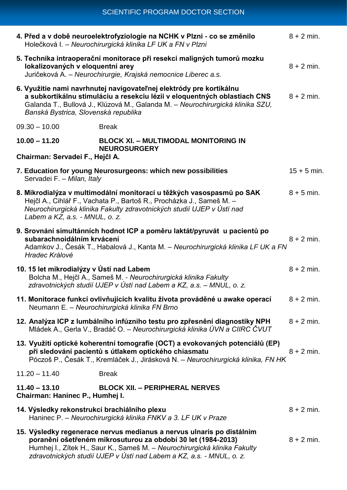|                                                     | 4. Před a v době neuroelektrofyziologie na NCHK v Plzni - co se změnilo<br>Holečková I. – Neurochirurgická klinika LF UK a FN v Plzni                                                                                              | $8 + 2$ min.  |
|-----------------------------------------------------|------------------------------------------------------------------------------------------------------------------------------------------------------------------------------------------------------------------------------------|---------------|
| lokalizovaných v eloquentní arey                    | 5. Technika intraoperační monitorace při resekci maligných tumorů mozku<br>Juričeková A. – Neurochirurgie, Krajská nemocnice Liberec a.s.                                                                                          | $8 + 2$ min.  |
| Banská Bystrica, Slovenská republika                | 6. Využitie nami navrhnutej navigovateľnej elektródy pre kortikálnu<br>a subkortikálnu stimuláciu a resekciu lézii v eloquentných oblastiach CNS<br>Galanda T., Bullová J., Klúzová M., Galanda M. – Neurochirurgická klinika SZU, | $8 + 2$ min.  |
| $09.30 - 10.00$                                     | <b>Break</b>                                                                                                                                                                                                                       |               |
| $10.00 - 11.20$                                     | <b>BLOCK XI. - MULTIMODAL MONITORING IN</b><br><b>NEUROSURGERY</b>                                                                                                                                                                 |               |
| Chairman: Servadei F., Hejčl A.                     |                                                                                                                                                                                                                                    |               |
| Servadei F. - Milan, Italy                          | 7. Education for young Neurosurgeons: which new possibilities                                                                                                                                                                      | $15 + 5$ min. |
| Labem a KZ, a.s. - MNUL, o. z.                      | 8. Mikrodialýza v multimodální monitoraci u těžkých vasospasmů po SAK<br>Hejčl A., Cihlář F., Vachata P., Bartoš R., Procházka J., Sameš M. -<br>Neurochirurgická klinika Fakulty zdravotnických studií UJEP v Ústí nad            | $8 + 5$ min.  |
| subarachnoidálním krvácení<br><b>Hradec Králové</b> | 9. Srovnání simultánních hodnot ICP a poměru laktát/pyruvát u pacientů po<br>Adamkov J., Česák T., Habalová J., Kanta M. – Neurochirurgická klinika LF UK a FN                                                                     | $8 + 2$ min.  |
| 10. 15 let mikrodialýzy v Ústí nad Labem            | Bolcha M., Hejčl A., Sameš M. - Neurochirurgická klinika Fakulty<br>zdravotnických studií UJEP v Ústí nad Labem a KZ, a.s. – MNUL, o. z.                                                                                           | $8 + 2$ min.  |
|                                                     | 11. Monitorace funkcí ovlivňujících kvalitu života prováděné u awake operací<br>Neumann E. - Neurochirurgická klinika FN Brno                                                                                                      | $8 + 2$ min.  |
|                                                     | 12. Analýza ICP z lumbálního infúzního testu pro zpřesnění diagnostiky NPH<br>Mládek A., Gerla V., Bradáč O. – Neurochirurgická klinika ÚVN a CIIRC ČVUT                                                                           | $8 + 2$ min.  |
|                                                     | 13. Využití optické koherentní tomografie (OCT) a evokovaných potenciálů (EP)<br>při sledování pacientů s útlakem optického chiasmatu<br>Póczoš P., Česák T., Kremláček J., Jirásková N. – Neurochirurgická klinika, FN HK         | $8 + 2$ min.  |
| $11.20 - 11.40$                                     | <b>Break</b>                                                                                                                                                                                                                       |               |
| $11.40 - 13.10$<br>Chairman: Haninec P., Humhej I.  | <b>BLOCK XII. - PERIPHERAL NERVES</b>                                                                                                                                                                                              |               |
| 14. Výsledky rekonstrukcí brachiálního plexu        | Haninec P. – Neurochirurgická klinika FNKV a 3. LF UK v Praze                                                                                                                                                                      | $8 + 2$ min.  |
|                                                     | 15. Výsledky regenerace nervus medianus a nervus ulnaris po distálním<br>poranění ošetřeném mikrosuturou za období 30 let (1984-2013)<br>Humhej I., Zítek H., Saur K., Sameš M. – Neurochirurgická klinika Fakulty                 | $8 + 2$ min.  |

*zdravotnických studií UJEP v Ústí nad Labem a KZ, a.s. - MNUL, o. z.*

SCIENTIFIC PROGRAM DOCTOR SECTION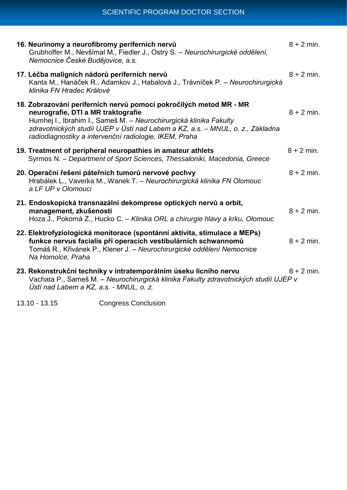| 16. Neurinomy a neurofibromy periferních nervů<br>Grubhoffer M., Nevšímal M., Fiedler J., Ostrý S. – Neurochirurgické oddělení,<br>Nemocnice České Budějovice, a.s.                                                                                                                                                        | $8 + 2$ min. |
|----------------------------------------------------------------------------------------------------------------------------------------------------------------------------------------------------------------------------------------------------------------------------------------------------------------------------|--------------|
| 17. Léčba maligních nádorů periferních nervů<br>Kanta M., Hanáček R., Adamkov J., Habalová J., Trávníček P. – Neurochirurgická<br>klinika FN Hradec Králové                                                                                                                                                                | $8 + 2$ min. |
| 18. Zobrazování periferních nervů pomocí pokročilých metod MR - MR<br>neurografie, DTI a MR traktografie<br>Humhej I., Ibrahim I., Sameš M. – Neurochirurgická klinika Fakulty<br>zdravotnických studií UJEP v Ústí nad Labem a KZ, a.s. – MNUL, o. z., Základna<br>radiodiagnostiky a intervenční radiologie, IKEM, Praha | $8 + 2$ min. |
| 19. Treatment of peripheral neuropathies in amateur athlets<br>Syrmos N. - Department of Sport Sciences, Thessaloniki, Macedonia, Greece                                                                                                                                                                                   | $8 + 2$ min. |
| 20. Operační řešení páteřních tumorů nervové pochvy<br>Hrabálek L., Vaverka M., Wanek T. – Neurochirurgická klinika FN Olomouc<br>a LF UP v Olomouci                                                                                                                                                                       | $8 + 2$ min. |
| 21. Endoskopická transnazální dekomprese optických nervů a orbit,<br>management, zkušenosti<br>Hoza J., Pokorná Z., Hucko C. - Klinika ORL a chirurgie hlavy a krku, Olomouc                                                                                                                                               | $8 + 2$ min. |
| 22. Elektrofyziologická monitorace (spontánní aktivita, stimulace a MEPs)<br>funkce nervus facialis při operacích vestibulárních schwannomů<br>Tomáš R., Křivánek P., Klener J. – Neurochirurgické oddělení Nemocnice<br>Na Homolce, Praha                                                                                 | $8 + 2$ min. |
| 23. Rekonstrukční techniky v intratemporálním úseku lícního nervu<br>Vachata P., Sameš M. – Neurochirurgická klinika Fakulty zdravotnických studií UJEP v<br>Ústí nad Labem a KZ, a.s. - MNUL, o. z.                                                                                                                       | $8 + 2$ min. |

13.10 - 13.15 Congress Conclusion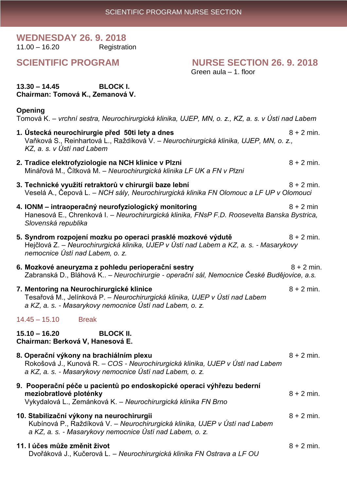### **WEDNESDAY 26. 9. 2018**

11.00 – 16.20 Registration

#### **SCIENTIFIC PROGRAM NURSE SECTION 26. 9. 2018**

Green aula – 1. floor

**13.30 – 14.45 BLOCK I. Chairman: Tomová K., Zemanová V.**

## **Opening**<br>Tomová K

| Tomová K. – vrchní sestra, Neurochirurgická klinika, UJEP, MN, o. z., KZ, a. s. v Ústí nad Labem                                                                       |              |
|------------------------------------------------------------------------------------------------------------------------------------------------------------------------|--------------|
| 1. Ústecká neurochirurgie před 50ti lety a dnes<br>Vaňková S., Reinhartová L., Raždíková V. – Neurochirurgická klinika, UJEP, MN, o. z.,<br>KZ, a. s. v Ústí nad Labem | $8 + 2$ min. |
| 2. Tradice elektrofyziologie na NCH klinice v Plzni<br>Minářová M., Čítková M. – Neurochirurgická klinika LF UK a FN v Plzni                                           | $8 + 2$ min. |
| 3. Technické využití retraktorů v chirurgii baze lební<br>Veselá A., Čepová L. – NCH sály, Neurochirurgická klinika FN Olomouc a LF UP v Olomouci                      | $8 + 2$ min. |
| 4. IONM – intraoperačný neurofyziologický monitoring                                                                                                                   | $8 + 2$ min  |

- Hanesová E., Chrenková I. *Neurochirurgická klinika, FNsP F.D. Roosevelta Banska Bystrica, Slovenská republika*
- **5. Syndrom rozpojení mozku po operaci prasklé mozkové výdutě** 8 + 2 min. Hejčlová Z. – *Neurochirurgická klinika, UJEP v Ústí nad Labem a KZ, a. s. - Masarykovy nemocnice Ústí nad Labem, o. z.*
- **6. Mozkové aneuryzma z pohledu perioperační sestry** 8 + 2 min. Zabranská D., Bláhová K.. – *Neurochirurgie - operační sál, Nemocnice České Budějovice, a.s.*
- **7. Mentoring na Neurochirurgické klinice** 8 + 2 min. Tesařová M., Jelínková P. – *Neurochirurgická klinika, UJEP v Ústí nad Labem a KZ, a. s. - Masarykovy nemocnice Ústí nad Labem, o. z.*

14.45 – 15.10 Break

**15.10 – 16.20 BLOCK II. Chairman: Berková V, Hanesová E.**

- **8. Operační výkony na brachiálním plexu** 8 + 2 min. Rokošová J., Kunová R. – *COS - Neurochirurgická klinika, UJEP v Ústí nad Labem a KZ, a. s. - Masarykovy nemocnice Ústí nad Labem, o. z.*
- **9. Pooperační péče u pacientů po endoskopické operaci výhřezu bederní meziobratlové ploténky** a meziobratlové ploténky a strong strong strong  $8 + 2$  min. Vykydalová L., Zemánková K. – *Neurochirurgická klinika FN Brno* **10. Stabilizační výkony na neurochirurgii** 8 + 2 min. Kubínová P., Raždíková V. – *Neurochirurgická klinika, UJEP v Ústí nad Labem a KZ, a. s. - Masarykovy nemocnice Ústí nad Labem, o. z.* **11. I účes může změnit život** a stronu a stronu a stronu a stronu 8 + 2 min.
	- Dvořáková J., Kučerová L. *Neurochirurgická klinika FN Ostrava a LF OU*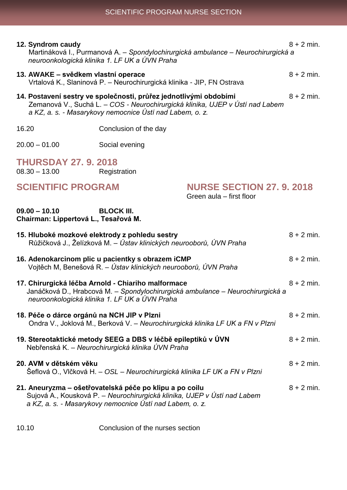#### **12. Syndrom caudy** 8 + 2 min.

 Martináková I., Purmanová A. – *Spondylochirurgická ambulance – Neurochirurgická a neuroonkologická klinika 1. LF UK a ÚVN Praha*

#### **13. AWAKE – svědkem vlastní operace** 8 + 2 min.

Vrtalová K., Slaninová P. – Neurochirurgická klinika - JIP, FN Ostrava

#### **14. Postavení sestry ve společnosti, průřez jednotlivými obdobími** 8 + 2 min.

 Zemanová V., Suchá L. – *COS - Neurochirurgická klinika, UJEP v Ústí nad Labem a KZ, a. s. - Masarykovy nemocnice Ústí nad Labem, o. z.*

16.20 Conclusion of the day

20.00 – 01.00 Social evening

**THURSDAY 27. 9. 2018** 08.30 – 13.00 Registration

### **SCIENTIFIC PROGRAM NURSE SECTION 27. 9. 2018**

Green aula – first floor

| 09.00 – 10.10                        | <b>BLOCK III.</b> |
|--------------------------------------|-------------------|
| Chairman: Lippertová L., Tesařová M. |                   |

| 15. Hluboké mozkové elektrody z pohledu sestry<br>Růžičková J., Želízková M. – Ústav klinických neurooborů, ÚVN Praha                                                                           | $8 + 2$ min. |
|-------------------------------------------------------------------------------------------------------------------------------------------------------------------------------------------------|--------------|
| 16. Adenokarcinom plic u pacientky s obrazem iCMP<br>Vojtěch M, Benešová R. – Ústav klinických neurooborů, ÚVN Praha                                                                            | $8 + 2$ min. |
| 17. Chirurgická léčba Arnold - Chiariho malformace<br>Janáčková D., Hrabcová M. – Spondylochirurgická ambulance – Neurochirurgická a<br>neuroonkologická klinika 1. LF UK a ÚVN Praha           | $8 + 2$ min. |
| 18. Péče o dárce orgánů na NCH JIP v Plzni<br>Ondra V., Joklová M., Berková V. – Neurochirurgická klinika LF UK a FN v Plzni                                                                    | $8 + 2$ min. |
| 19. Stereotaktické metody SEEG a DBS v léčbě epileptiků v ÚVN<br>Nebřenská K. – Neurochirurgická klinika ÚVN Praha                                                                              | $8 + 2$ min. |
| 20. AVM v dětském věku<br>Šeflová O., Vlčková H. – OSL – Neurochirurgická klinika LF UK a FN v Plzni                                                                                            | $8 + 2$ min. |
| 21. Aneuryzma – ošetřovatelská péče po klipu a po coilu<br>Sujová A., Kousková P. – Neurochirurgická klinika, UJEP v Ústí nad Labem<br>a KZ, a. s. - Masarykovy nemocnice Ústí nad Labem, o. z. | $8 + 2$ min. |

10.10 Conclusion of the nurses section